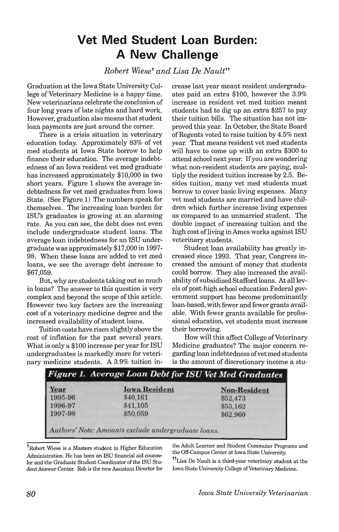## **Vet Med Student Loan Burden: A New Challenge**

*Robert Wieset and Lisa De Naulttt* 

Graduation at the Iowa State University College of Veterinary Medicine is a happy time. New veterinarians celebrate the conclusion of four long years of late nights and hard work. However, graduation also means that student loan payments are just around the corner.

There is a crisis situation in veterinary education today. Approximately 83% of vet med students at Iowa State borrow to help finance their education. The average indebtedness of an Iowa resident vet med graduate has increased approximately \$10,000 in two short years. Figure 1 shows the average indebtedness for vet med graduates from Iowa State. (See Figure 1) The numbers speak for themselves. The increasing loan burden for lSD's graduates is growing at an alarming rate. As you can see, the debt does not even include undergraduate student loans. The average loan indebtedness for an ISU undergraduate was approximately \$17,000 in 1997- 98. When these loans are added to vet med loans, we see the average debt increase to \$67,059.

But, why are students taking out so much in loans? The answer to this question is very complex and beyond the scope of this article. However two key factors are the increasing cost of a veterinary medicine degree and the increased availability of student loans.

Tuition costs have risen slightly above the cost of inflation for the past several years. What is only a \$100 increase per year for ISU undergraduates is markedly more for veterinary medicine students. A 3.9% tuition increase last year meant resident undergraduates paid an extra \$100, however the 3.9% increase in resident vet med tuition meant students had to dig up an extra \$257 to pay their tuition bills. The situation has not improved this year. In October, the State Board of Regents voted to raise tuition by 4.5% next year. That means resident vet med students will have to come up with an extra \$300.to attend school next year. If you are wondering what non-resident students are paying, multiply the resident tuition increase by 2.5. Besides tuition, many vet med students must borrow to cover basic living expenses. Many vet med students are married and have children which further increase living expenses as compared to an unmarried student. The double impact of increasing tuition and the high cost of living in Ames works against ISU veterinary students.

Student loan availability has greatly increased since 1993. That year, Congress increased the amount of money that students could borrow. They also increased the availability of subsidized Stafford loans. At all levels of post-high school education Federal government support has become predominantly loan-based, with fewer and fewer grants available. With fewer grants available for professional education, vet students must increase their borrowing.

How will this affect College of Veterinary Medicine graduates? The major concern regarding loan indebtedness ofvetmed students is the amount of discretionary income a stu-

| Figure 1. Average Loan Debt for ISU Vet Med Graduates |                     |
|-------------------------------------------------------|---------------------|
| <b>Iowa Resident</b>                                  | <b>Non-Resident</b> |
| \$40,161                                              | \$52,473            |
| \$41,105                                              | \$53,162            |
| \$50,059                                              | \$62,960            |
| Authors' Note: Amounts exclude undergraduate loans.   |                     |
|                                                       |                     |

<sup>†</sup>Robert Wiese is a Masters student in Higher Education Administration. He has been an ISU financial aid counselor and the Graduate Student Coordinator of the ISU Student Answer Center. Rob is the new Assistant Director for

the Adult Learner and Student Commuter Programs and the Off-Campus Center at Iowa State University.

<sup>tt</sup>Lisa De Nault is a third-year veterinary student at the Iowa State University College of Veterinary Medicine.